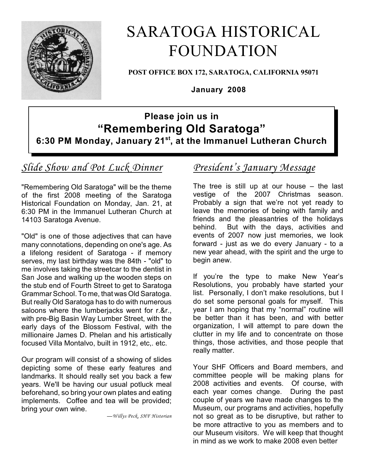

# SARATOGA HISTORICAL FOUNDATION

**POST OFFICE BOX 172, SARATOGA, CALIFORNIA 95071**

**January 2008**

## **Please join us in "Remembering Old Saratoga" 6:30 PM Monday, January 21st, at the Immanuel Lutheran Church**

# *Slide Show and Pot Luck Dinner*

"Remembering Old Saratoga" will be the theme of the first 2008 meeting of the Saratoga Historical Foundation on Monday, Jan. 21, at 6:30 PM in the Immanuel Lutheran Church at 14103 Saratoga Avenue.

"Old" is one of those adjectives that can have many connotations, depending on one's age. As a lifelong resident of Saratoga - if memory serves, my last birthday was the 84th - "old" to me involves taking the streetcar to the dentist in San Jose and walking up the wooden steps on the stub end of Fourth Street to get to Saratoga Grammar School. To me, that was Old Saratoga. But really Old Saratoga has to do with numerous saloons where the lumberjacks went for r.&r., with pre-Big Basin Way Lumber Street, with the early days of the Blossom Festival, with the millionaire James D. Phelan and his artistically focused Villa Montalvo, built in 1912, etc,. etc.

Our program will consist of a showing of slides depicting some of these early features and landmarks. It should really set you back a few years. We'll be having our usual potluck meal beforehand, so bring your own plates and eating implements. Coffee and tea will be provided; bring your own wine.

*—Willys Peck, SHF Historian*

### *President's January Message*

The tree is still up at our house – the last vestige of the 2007 Christmas season. Probably a sign that we're not yet ready to leave the memories of being with family and friends and the pleasantries of the holidays behind. But with the days, activities and events of 2007 now just memories, we look forward - just as we do every January - to a new year ahead, with the spirit and the urge to begin anew.

If you're the type to make New Year's Resolutions, you probably have started your list. Personally, I don't make resolutions, but I do set some personal goals for myself. This year I am hoping that my "normal" routine will be better than it has been, and with better organization, I will attempt to pare down the clutter in my life and to concentrate on those things, those activities, and those people that really matter.

Your SHF Officers and Board members, and committee people will be making plans for 2008 activities and events. Of course, with each year comes change. During the past couple of years we have made changes to the Museum, our programs and activities, hopefully not so great as to be disruptive, but rather to be more attractive to you as members and to our Museum visitors. We will keep that thought in mind as we work to make 2008 even better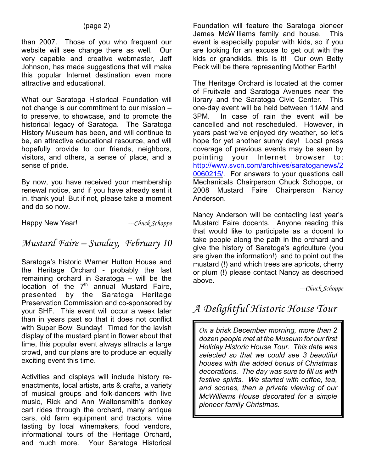than 2007. Those of you who frequent our website will see change there as well. Our very capable and creative webmaster, Jeff Johnson, has made suggestions that will make this popular Internet destination even more attractive and educational.

What our Saratoga Historical Foundation will not change is our commitment to our mission – to preserve, to showcase, and to promote the historical legacy of Saratoga. The Saratoga History Museum has been, and will continue to be, an attractive educational resource, and will hopefully provide to our friends, neighbors, visitors, and others, a sense of place, and a sense of pride.

By now, you have received your membership renewal notice, and if you have already sent it in, thank you! But if not, please take a moment and do so now.

Happy New Year! *---Chuck Schoppe* 

### *Mustard Faire – Sunday, February 10*

Saratoga's historic Warner Hutton House and the Heritage Orchard - probably the last remaining orchard in Saratoga – will be the location of the  $7<sup>th</sup>$  annual Mustard Faire, presented by the Saratoga Heritage Preservation Commission and co-sponsored by your SHF. This event will occur a week later than in years past so that it does not conflict with Super Bowl Sunday! Timed for the lavish display of the mustard plant in flower about that time, this popular event always attracts a large crowd, and our plans are to produce an equally exciting event this time.

Activities and displays will include history reenactments, local artists, arts & crafts, a variety of musical groups and folk-dancers with live music, Rick and Ann Waltonsmith's donkey cart rides through the orchard, many antique cars, old farm equipment and tractors, wine tasting by local winemakers, food vendors, informational tours of the Heritage Orchard, and much more. Your Saratoga Historical

Foundation will feature the Saratoga pioneer James McWilliams family and house. This event is especially popular with kids, so if you are looking for an excuse to get out with the kids or grandkids, this is it! Our own Betty Peck will be there representing Mother Earth!

The Heritage Orchard is located at the corner of Fruitvale and Saratoga Avenues near the library and the Saratoga Civic Center. This one-day event will be held between 11AM and 3PM. In case of rain the event will be cancelled and not rescheduled. However, in years past we've enjoyed dry weather, so let's hope for yet another sunny day! Local press coverage of previous events may be seen by pointing your Internet browser to: [http://www.svcn.com/archives/saratoganews/2](file:///|//h) [0060215/](file:///|//h). For answers to your questions call Mechanicals Chairperson Chuck Schoppe, or 2008 Mustard Faire Chairperson Nancy Anderson.

Nancy Anderson will be contacting last year's Mustard Faire docents. Anyone reading this that would like to participate as a docent to take people along the path in the orchard and give the history of Saratoga's agriculture (you are given the information!) and to point out the mustard (!) and which trees are apricots, cherry or plum (!) please contact Nancy as described above.

*---Chuck Schoppe*

# *A Delightful Historic House Tour*

*On a brisk December morning, more than 2 dozen people met at the Museum for our first Holiday Historic House Tour. This date was selected so that we could see 3 beautiful houses with the added bonus of Christmas decorations. The day was sure to fill us with festive spirits. We started with coffee, tea, and scones, then a private viewing of our McWilliams House decorated for a simple pioneer family Christmas.*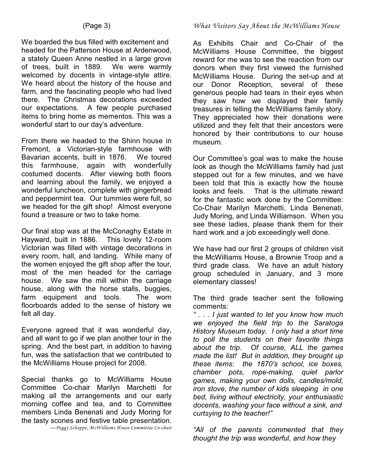We boarded the bus filled with excitement and headed for the Patterson House at Ardenwood, a stately Queen Anne nestled in a large grove of trees, built in 1889. We were warmly welcomed by docents in vintage-style attire. We heard about the history of the house and farm, and the fascinating people who had lived there. The Christmas decorations exceeded our expectations. A few people purchased items to bring home as mementos. This was a wonderful start to our day's adventure.

From there we headed to the Shinn house in Fremont, a Victorian-style farmhouse with Bavarian accents, built in 1876. We toured this farmhouse, again with wonderfully costumed docents. After viewing both floors and learning about the family, we enjoyed a wonderful luncheon, complete with gingerbread and peppermint tea. Our tummies were full, so we headed for the gift shop! Almost everyone found a treasure or two to take home.

Our final stop was at the McConaghy Estate in Hayward, built in 1886. This lovely 12-room Victorian was filled with vintage decorations in every room, hall, and landing. While many of the women enjoyed the gift shop after the tour, most of the men headed for the carriage house. We saw the mill within the carriage house, along with the horse stalls, buggies, farm equipment and tools. The worn floorboards added to the sense of history we felt all day.

Everyone agreed that it was wonderful day, and all want to go if we plan another tour in the spring. And the best part, in addition to having fun, was the satisfaction that we contributed to the McWilliams House project for 2008.

Special thanks go to McWilliams House Committee Co-chair Marilyn Marchetti for making all the arrangements and our early morning coffee and tea, and to Committee members Linda Benenati and Judy Moring for the tasty scones and festive table presentation.

*—Peggy Schoppe, McWilliams House Committee Co-chair*

#### *What Visitors Say About the McWilliams House*

As Exhibits Chair and Co-Chair of the McWilliams House Committee, the biggest reward for me was to see the reaction from our donors when they first viewed the furnished McWilliams House. During the set-up and at our Donor Reception, several of these generous people had tears in their eyes when they saw how we displayed their family treasures in telling the McWilliams family story. They appreciated how their donations were utilized and they felt that their ancestors were honored by their contributions to our house museum.

Our Committee's goal was to make the house look as though the McWilliams family had just stepped out for a few minutes, and we have been told that this is exactly how the house looks and feels. That is the ultimate reward for the fantastic work done by the Committee: Co-Chair Marilyn Marchetti, Linda Benenati, Judy Moring, and Linda Williamson. When you see these ladies, please thank them for their hard work and a job exceedingly well done.

We have had our first 2 groups of children visit the McWilliams House, a Brownie Troop and a third grade class. We have an adult history group scheduled in January, and 3 more elementary classes!

The third grade teacher sent the following comments:

*" . . . I just wanted to let you know how much we enjoyed the field trip to the Saratoga History Museum today. I only had a short time to poll the students on their favorite things about the trip. Of course, ALL the games made the list! But in addition, they brought up these items: the 1870's school, ice boxes, chamber pots, rope-making, quiet parlor games, making your own dolls, candles/mold, iron stove, the number of kids sleeping in one bed, living without electricity, your enthusiastic docents, washing your face without a sink, and curtsying to the teacher!"*

*"All of the parents commented that they thought the trip was wonderful, and how they*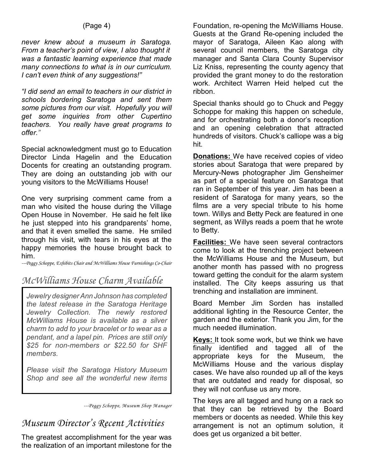#### (Page 4)

*never knew about a museum in Saratoga. From a teacher's point of view, I also thought it was a fantastic learning experience that made many connections to what is in our curriculum. I can't even think of any suggestions!"* 

*"I did send an email to teachers in our district in schools bordering Saratoga and sent them some pictures from our visit. Hopefully you will get some inquiries from other Cupertino teachers. You really have great programs to offer."* 

Special acknowledgment must go to Education Director Linda Hagelin and the Education Docents for creating an outstanding program. They are doing an outstanding job with our young visitors to the McWilliams House!

One very surprising comment came from a man who visited the house during the Village Open House in November. He said he felt like he just stepped into his grandparents' home, and that it even smelled the same. He smiled through his visit, with tears in his eyes at the happy memories the house brought back to him.

*---Peggy Schoppe, Exhibits Chair and McWilliams House Furnishings Co-Chair*

### *McWilliams House Charm Available*

*Jewelry designer Ann Johnson has completed the latest release in the Saratoga Heritage Jewelry Collection. The newly restored McWilliams House is available as a silver charm to add to your bracelet or to wear as a pendant, and a lapel pin. Prices are still only \$25 for non-members or \$22.50 for SHF members.*

*Please visit the Saratoga History Museum Shop and see all the wonderful new items*

*---Peggy Schoppe, Museum Shop Manager*

#### *Museum Director's Recent Activities*

The greatest accomplishment for the year was the realization of an important milestone for the

Foundation, re-opening the McWilliams House. Guests at the Grand Re-opening included the mayor of Saratoga, Aileen Kao along with several council members, the Saratoga city manager and Santa Clara County Supervisor Liz Kniss, representing the county agency that provided the grant money to do the restoration work. Architect Warren Heid helped cut the ribbon.

Special thanks should go to Chuck and Peggy Schoppe for making this happen on schedule, and for orchestrating both a donor's reception and an opening celebration that attracted hundreds of visitors. Chuck's calliope was a big hit.

**Donations:** We have received copies of video stories about Saratoga that were prepared by Mercury-News photographer Jim Gensheimer as part of a special feature on Saratoga that ran in September of this year. Jim has been a resident of Saratoga for many years, so the films are a very special tribute to his home town. Willys and Betty Peck are featured in one segment, as Willys reads a poem that he wrote to Betty.

**Facilities:** We have seen several contractors come to look at the trenching project between the McWilliams House and the Museum, but another month has passed with no progress toward getting the conduit for the alarm system installed. The City keeps assuring us that trenching and installation are imminent.

Board Member Jim Sorden has installed additional lighting in the Resource Center, the garden and the exterior. Thank you Jim, for the much needed illumination.

**Keys:** It took some work, but we think we have finally identified and tagged all of the appropriate keys for the Museum, the McWilliams House and the various display cases. We have also rounded up all of the keys that are outdated and ready for disposal, so they will not confuse us any more.

The keys are all tagged and hung on a rack so that they can be retrieved by the Board members or docents as needed. While this key arrangement is not an optimum solution, it does get us organized a bit better.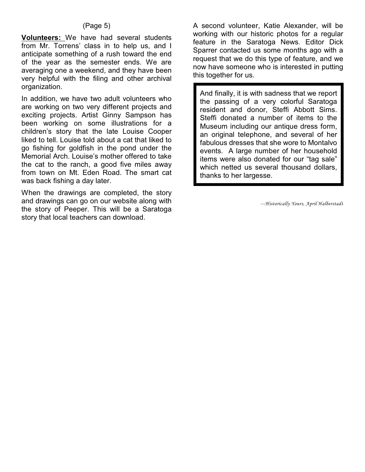#### (Page 5)

**Volunteers:** We have had several students from Mr. Torrens' class in to help us, and I anticipate something of a rush toward the end of the year as the semester ends. We are averaging one a weekend, and they have been very helpful with the filing and other archival organization.

In addition, we have two adult volunteers who are working on two very different projects and exciting projects. Artist Ginny Sampson has been working on some illustrations for a children's story that the late Louise Cooper liked to tell. Louise told about a cat that liked to go fishing for goldfish in the pond under the Memorial Arch. Louise's mother offered to take the cat to the ranch, a good five miles away from town on Mt. Eden Road. The smart cat was back fishing a day later.

When the drawings are completed, the story and drawings can go on our website along with the story of Peeper. This will be a Saratoga story that local teachers can download.

A second volunteer, Katie Alexander, will be working with our historic photos for a regular feature in the Saratoga News. Editor Dick Sparrer contacted us some months ago with a request that we do this type of feature, and we now have someone who is interested in putting this together for us.

And finally, it is with sadness that we report the passing of a very colorful Saratoga resident and donor, Steffi Abbott Sims. Steffi donated a number of items to the Museum including our antique dress form, an original telephone, and several of her fabulous dresses that she wore to Montalvo events. A large number of her household items were also donated for our "tag sale" which netted us several thousand dollars, thanks to her largesse.

*---Historically Yours, April Halberstadt*